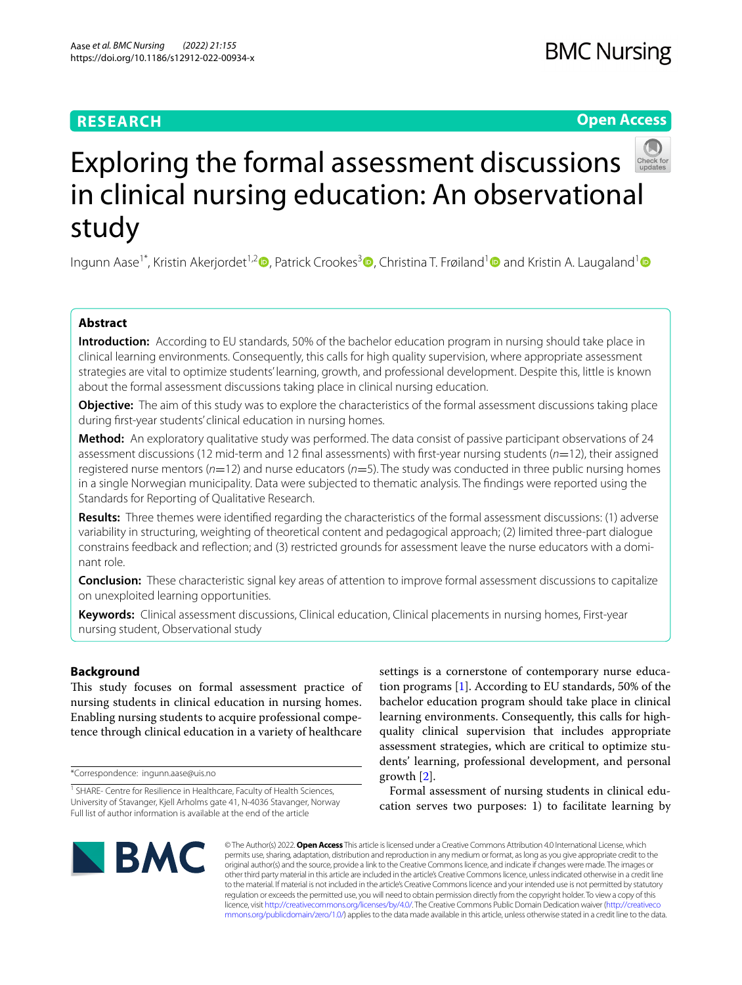# **RESEARCH**

# **Open Access**



# Exploring the formal assessment discussions in clinical nursing education: An observational study

Ingunn Aase<sup>1\*</sup>[,](https://orcid.org/0000-0002-4300-4496) Kristin Akerjordet<sup>1,2</sup>  $\bullet$ , Patrick Crookes<sup>[3](https://orcid.org/0000-0001-8669-7176)</sup>  $\bullet$ , Christina T. Frøiland<sup>1</sup>  $\bullet$  and Kristin A. Laugaland<sup>1</sup>  $\bullet$ 

## **Abstract**

**Introduction:** According to EU standards, 50% of the bachelor education program in nursing should take place in clinical learning environments. Consequently, this calls for high quality supervision, where appropriate assessment strategies are vital to optimize students' learning, growth, and professional development. Despite this, little is known about the formal assessment discussions taking place in clinical nursing education.

**Objective:** The aim of this study was to explore the characteristics of the formal assessment discussions taking place during frst-year students' clinical education in nursing homes.

**Method:** An exploratory qualitative study was performed. The data consist of passive participant observations of 24 assessment discussions (12 mid-term and 12 fnal assessments) with frst-year nursing students (*n*=12), their assigned registered nurse mentors (*n*=12) and nurse educators (*n*=5). The study was conducted in three public nursing homes in a single Norwegian municipality. Data were subjected to thematic analysis. The fndings were reported using the Standards for Reporting of Qualitative Research.

**Results:** Three themes were identifed regarding the characteristics of the formal assessment discussions: (1) adverse variability in structuring, weighting of theoretical content and pedagogical approach; (2) limited three-part dialogue constrains feedback and refection; and (3) restricted grounds for assessment leave the nurse educators with a dominant role.

**Conclusion:** These characteristic signal key areas of attention to improve formal assessment discussions to capitalize on unexploited learning opportunities.

**Keywords:** Clinical assessment discussions, Clinical education, Clinical placements in nursing homes, First-year nursing student, Observational study

## **Background**

This study focuses on formal assessment practice of nursing students in clinical education in nursing homes. Enabling nursing students to acquire professional competence through clinical education in a variety of healthcare

\*Correspondence: ingunn.aase@uis.no

settings is a cornerstone of contemporary nurse education programs [\[1](#page-8-0)]. According to EU standards, 50% of the bachelor education program should take place in clinical learning environments. Consequently, this calls for highquality clinical supervision that includes appropriate assessment strategies, which are critical to optimize students' learning, professional development, and personal growth [[2](#page-8-1)].

Formal assessment of nursing students in clinical education serves two purposes: 1) to facilitate learning by



© The Author(s) 2022. **Open Access** This article is licensed under a Creative Commons Attribution 4.0 International License, which permits use, sharing, adaptation, distribution and reproduction in any medium or format, as long as you give appropriate credit to the original author(s) and the source, provide a link to the Creative Commons licence, and indicate if changes were made. The images or other third party material in this article are included in the article's Creative Commons licence, unless indicated otherwise in a credit line to the material. If material is not included in the article's Creative Commons licence and your intended use is not permitted by statutory regulation or exceeds the permitted use, you will need to obtain permission directly from the copyright holder. To view a copy of this licence, visit [http://creativecommons.org/licenses/by/4.0/.](http://creativecommons.org/licenses/by/4.0/) The Creative Commons Public Domain Dedication waiver ([http://creativeco](http://creativecommons.org/publicdomain/zero/1.0/) [mmons.org/publicdomain/zero/1.0/](http://creativecommons.org/publicdomain/zero/1.0/)) applies to the data made available in this article, unless otherwise stated in a credit line to the data.

<sup>&</sup>lt;sup>1</sup> SHARE- Centre for Resilience in Healthcare, Faculty of Health Sciences, University of Stavanger, Kjell Arholms gate 41, N-4036 Stavanger, Norway Full list of author information is available at the end of the article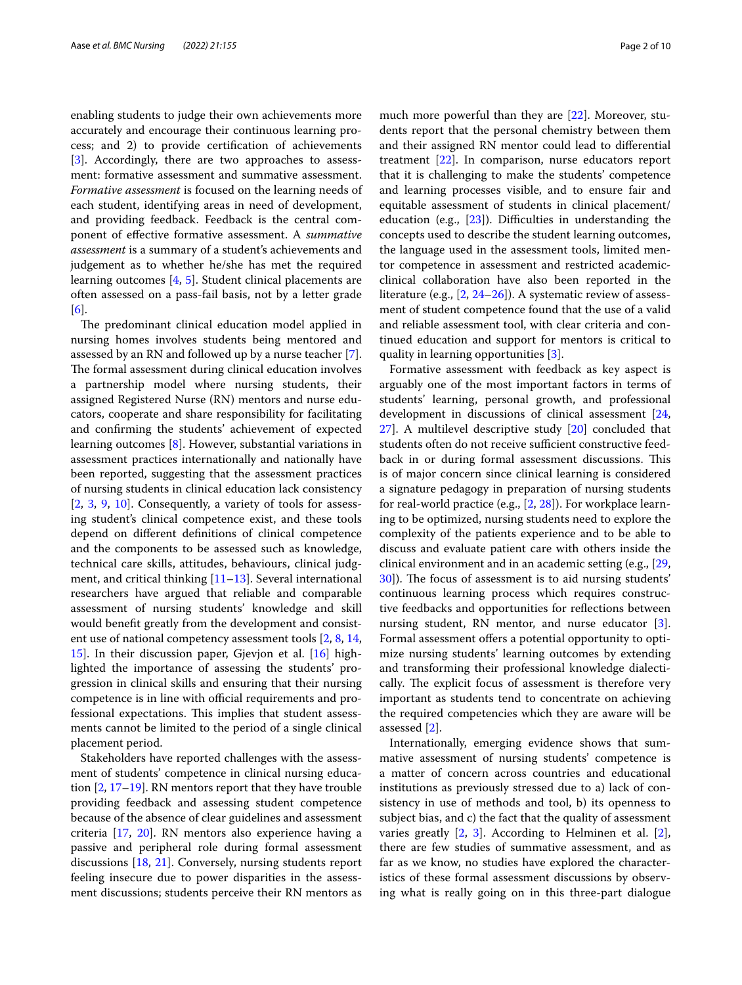enabling students to judge their own achievements more accurately and encourage their continuous learning process; and 2) to provide certifcation of achievements [[3\]](#page-8-2). Accordingly, there are two approaches to assessment: formative assessment and summative assessment. *Formative assessment* is focused on the learning needs of each student, identifying areas in need of development, and providing feedback. Feedback is the central component of efective formative assessment. A *summative assessment* is a summary of a student's achievements and judgement as to whether he/she has met the required learning outcomes [[4,](#page-9-0) [5\]](#page-9-1). Student clinical placements are often assessed on a pass-fail basis, not by a letter grade [[6\]](#page-9-2).

The predominant clinical education model applied in nursing homes involves students being mentored and assessed by an RN and followed up by a nurse teacher [\[7](#page-9-3)]. The formal assessment during clinical education involves a partnership model where nursing students, their assigned Registered Nurse (RN) mentors and nurse educators, cooperate and share responsibility for facilitating and confrming the students' achievement of expected learning outcomes [[8](#page-9-4)]. However, substantial variations in assessment practices internationally and nationally have been reported, suggesting that the assessment practices of nursing students in clinical education lack consistency [[2,](#page-8-1) [3,](#page-8-2) [9](#page-9-5), [10\]](#page-9-6). Consequently, a variety of tools for assessing student's clinical competence exist, and these tools depend on diferent defnitions of clinical competence and the components to be assessed such as knowledge, technical care skills, attitudes, behaviours, clinical judgment, and critical thinking [[11–](#page-9-7)[13\]](#page-9-8). Several international researchers have argued that reliable and comparable assessment of nursing students' knowledge and skill would beneft greatly from the development and consistent use of national competency assessment tools [[2,](#page-8-1) [8,](#page-9-4) [14](#page-9-9), [15\]](#page-9-10). In their discussion paper, Gjevjon et al. [[16\]](#page-9-11) highlighted the importance of assessing the students' progression in clinical skills and ensuring that their nursing competence is in line with official requirements and professional expectations. This implies that student assessments cannot be limited to the period of a single clinical placement period.

Stakeholders have reported challenges with the assessment of students' competence in clinical nursing education [[2,](#page-8-1) [17–](#page-9-12)[19\]](#page-9-13). RN mentors report that they have trouble providing feedback and assessing student competence because of the absence of clear guidelines and assessment criteria [[17,](#page-9-12) [20\]](#page-9-14). RN mentors also experience having a passive and peripheral role during formal assessment discussions [\[18](#page-9-15), [21](#page-9-16)]. Conversely, nursing students report feeling insecure due to power disparities in the assessment discussions; students perceive their RN mentors as much more powerful than they are [[22](#page-9-17)]. Moreover, students report that the personal chemistry between them and their assigned RN mentor could lead to diferential treatment [[22\]](#page-9-17). In comparison, nurse educators report that it is challenging to make the students' competence and learning processes visible, and to ensure fair and equitable assessment of students in clinical placement/ education (e.g.,  $[23]$  $[23]$ ). Difficulties in understanding the concepts used to describe the student learning outcomes, the language used in the assessment tools, limited mentor competence in assessment and restricted academicclinical collaboration have also been reported in the literature (e.g., [[2](#page-8-1), [24–](#page-9-19)[26\]](#page-9-20)). A systematic review of assessment of student competence found that the use of a valid and reliable assessment tool, with clear criteria and continued education and support for mentors is critical to quality in learning opportunities [\[3](#page-8-2)].

Formative assessment with feedback as key aspect is arguably one of the most important factors in terms of students' learning, personal growth, and professional development in discussions of clinical assessment [[24](#page-9-19), [27\]](#page-9-21). A multilevel descriptive study [[20](#page-9-14)] concluded that students often do not receive sufficient constructive feedback in or during formal assessment discussions. This is of major concern since clinical learning is considered a signature pedagogy in preparation of nursing students for real-world practice (e.g., [\[2](#page-8-1), [28\]](#page-9-22)). For workplace learning to be optimized, nursing students need to explore the complexity of the patients experience and to be able to discuss and evaluate patient care with others inside the clinical environment and in an academic setting (e.g., [[29](#page-9-23), [30\]](#page-9-24)). The focus of assessment is to aid nursing students' continuous learning process which requires constructive feedbacks and opportunities for refections between nursing student, RN mentor, and nurse educator [\[3](#page-8-2)]. Formal assessment offers a potential opportunity to optimize nursing students' learning outcomes by extending and transforming their professional knowledge dialectically. The explicit focus of assessment is therefore very important as students tend to concentrate on achieving the required competencies which they are aware will be assessed [[2](#page-8-1)].

Internationally, emerging evidence shows that summative assessment of nursing students' competence is a matter of concern across countries and educational institutions as previously stressed due to a) lack of consistency in use of methods and tool, b) its openness to subject bias, and c) the fact that the quality of assessment varies greatly [\[2](#page-8-1), [3\]](#page-8-2). According to Helminen et al. [\[2](#page-8-1)], there are few studies of summative assessment, and as far as we know, no studies have explored the characteristics of these formal assessment discussions by observing what is really going on in this three-part dialogue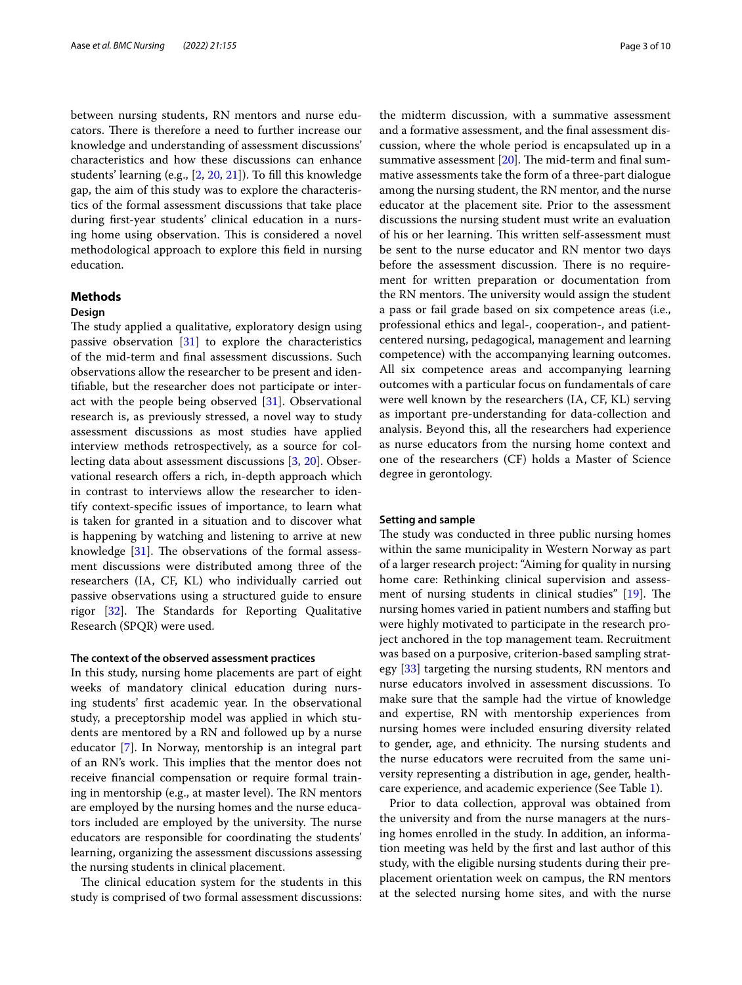between nursing students, RN mentors and nurse educators. There is therefore a need to further increase our knowledge and understanding of assessment discussions' characteristics and how these discussions can enhance students' learning (e.g., [[2,](#page-8-1) [20,](#page-9-14) [21](#page-9-16)]). To fll this knowledge gap, the aim of this study was to explore the characteristics of the formal assessment discussions that take place during frst-year students' clinical education in a nursing home using observation. This is considered a novel methodological approach to explore this feld in nursing education.

## **Methods**

## **Design**

The study applied a qualitative, exploratory design using passive observation [\[31\]](#page-9-25) to explore the characteristics of the mid-term and fnal assessment discussions. Such observations allow the researcher to be present and identifable, but the researcher does not participate or interact with the people being observed [[31](#page-9-25)]. Observational research is, as previously stressed, a novel way to study assessment discussions as most studies have applied interview methods retrospectively, as a source for collecting data about assessment discussions [\[3](#page-8-2), [20\]](#page-9-14). Observational research offers a rich, in-depth approach which in contrast to interviews allow the researcher to identify context-specifc issues of importance, to learn what is taken for granted in a situation and to discover what is happening by watching and listening to arrive at new knowledge  $[31]$  $[31]$ . The observations of the formal assessment discussions were distributed among three of the researchers (IA, CF, KL) who individually carried out passive observations using a structured guide to ensure rigor  $[32]$  $[32]$ . The Standards for Reporting Qualitative Research (SPQR) were used.

## **The context of the observed assessment practices**

In this study, nursing home placements are part of eight weeks of mandatory clinical education during nursing students' frst academic year. In the observational study, a preceptorship model was applied in which students are mentored by a RN and followed up by a nurse educator [[7\]](#page-9-3). In Norway, mentorship is an integral part of an RN's work. This implies that the mentor does not receive fnancial compensation or require formal training in mentorship (e.g., at master level). The RN mentors are employed by the nursing homes and the nurse educators included are employed by the university. The nurse educators are responsible for coordinating the students' learning, organizing the assessment discussions assessing the nursing students in clinical placement.

The clinical education system for the students in this study is comprised of two formal assessment discussions: the midterm discussion, with a summative assessment and a formative assessment, and the fnal assessment discussion, where the whole period is encapsulated up in a summative assessment  $[20]$  $[20]$ . The mid-term and final summative assessments take the form of a three-part dialogue among the nursing student, the RN mentor, and the nurse educator at the placement site. Prior to the assessment discussions the nursing student must write an evaluation of his or her learning. This written self-assessment must be sent to the nurse educator and RN mentor two days before the assessment discussion. There is no requirement for written preparation or documentation from the RN mentors. The university would assign the student a pass or fail grade based on six competence areas (i.e., professional ethics and legal-, cooperation-, and patientcentered nursing, pedagogical, management and learning competence) with the accompanying learning outcomes. All six competence areas and accompanying learning outcomes with a particular focus on fundamentals of care were well known by the researchers (IA, CF, KL) serving as important pre-understanding for data-collection and analysis. Beyond this, all the researchers had experience as nurse educators from the nursing home context and one of the researchers (CF) holds a Master of Science degree in gerontology.

#### **Setting and sample**

The study was conducted in three public nursing homes within the same municipality in Western Norway as part of a larger research project: "Aiming for quality in nursing home care: Rethinking clinical supervision and assess-ment of nursing students in clinical studies" [\[19](#page-9-13)]. The nursing homes varied in patient numbers and staffing but were highly motivated to participate in the research project anchored in the top management team. Recruitment was based on a purposive, criterion-based sampling strategy [[33\]](#page-9-27) targeting the nursing students, RN mentors and nurse educators involved in assessment discussions. To make sure that the sample had the virtue of knowledge and expertise, RN with mentorship experiences from nursing homes were included ensuring diversity related to gender, age, and ethnicity. The nursing students and the nurse educators were recruited from the same university representing a distribution in age, gender, healthcare experience, and academic experience (See Table [1\)](#page-3-0).

Prior to data collection, approval was obtained from the university and from the nurse managers at the nursing homes enrolled in the study. In addition, an information meeting was held by the frst and last author of this study, with the eligible nursing students during their preplacement orientation week on campus, the RN mentors at the selected nursing home sites, and with the nurse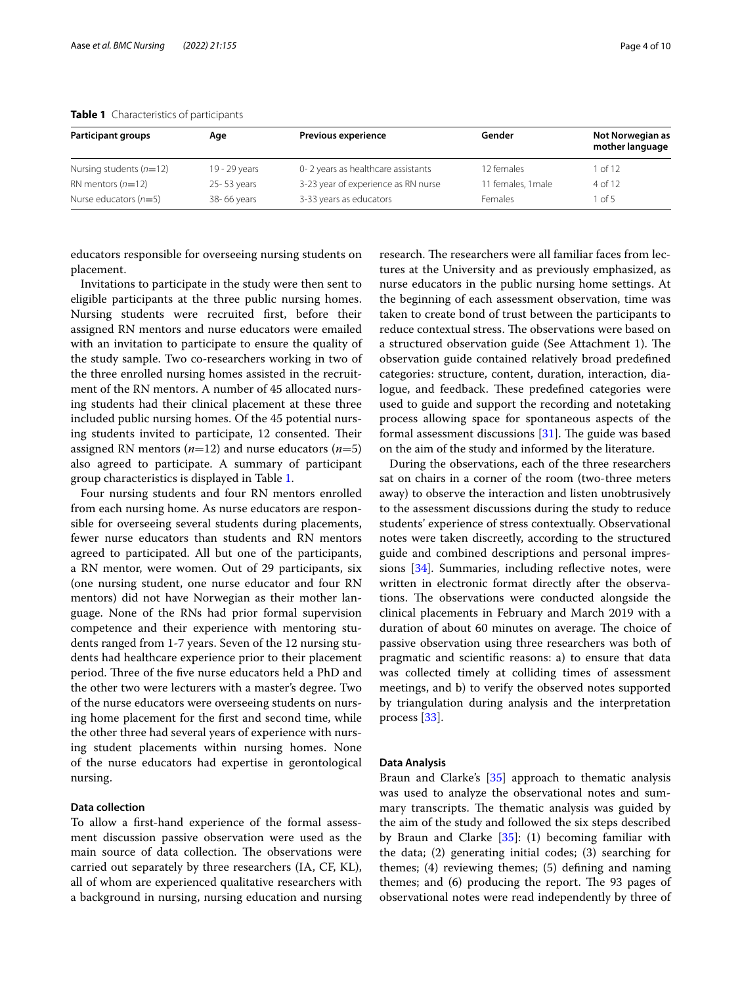| <b>Participant groups</b> | Age           | <b>Previous experience</b>          | Gender            | Not Norwegian as<br>mother language |
|---------------------------|---------------|-------------------------------------|-------------------|-------------------------------------|
| Nursing students $(n=12)$ | 19 - 29 years | 0-2 years as healthcare assistants  | 12 females        | $1$ of $12$                         |
| RN mentors $(n=12)$       | 25-53 years   | 3-23 year of experience as RN nurse | 1 females, 1 male | 4 of 12                             |
| Nurse educators $(n=5)$   | 38-66 years   | 3-33 years as educators             | <b>Females</b>    | 1 <sub>of</sub> 5                   |

#### <span id="page-3-0"></span>**Table 1** Characteristics of participants

educators responsible for overseeing nursing students on placement.

Invitations to participate in the study were then sent to eligible participants at the three public nursing homes. Nursing students were recruited frst, before their assigned RN mentors and nurse educators were emailed with an invitation to participate to ensure the quality of the study sample. Two co-researchers working in two of the three enrolled nursing homes assisted in the recruitment of the RN mentors. A number of 45 allocated nursing students had their clinical placement at these three included public nursing homes. Of the 45 potential nursing students invited to participate, 12 consented. Their assigned RN mentors  $(n=12)$  and nurse educators  $(n=5)$ also agreed to participate. A summary of participant group characteristics is displayed in Table [1.](#page-3-0)

Four nursing students and four RN mentors enrolled from each nursing home. As nurse educators are responsible for overseeing several students during placements, fewer nurse educators than students and RN mentors agreed to participated. All but one of the participants, a RN mentor, were women. Out of 29 participants, six (one nursing student, one nurse educator and four RN mentors) did not have Norwegian as their mother language. None of the RNs had prior formal supervision competence and their experience with mentoring students ranged from 1-7 years. Seven of the 12 nursing students had healthcare experience prior to their placement period. Three of the five nurse educators held a PhD and the other two were lecturers with a master's degree. Two of the nurse educators were overseeing students on nursing home placement for the frst and second time, while the other three had several years of experience with nursing student placements within nursing homes. None of the nurse educators had expertise in gerontological nursing.

## **Data collection**

To allow a frst-hand experience of the formal assessment discussion passive observation were used as the main source of data collection. The observations were carried out separately by three researchers (IA, CF, KL), all of whom are experienced qualitative researchers with a background in nursing, nursing education and nursing research. The researchers were all familiar faces from lectures at the University and as previously emphasized, as nurse educators in the public nursing home settings. At the beginning of each assessment observation, time was taken to create bond of trust between the participants to reduce contextual stress. The observations were based on a structured observation guide (See Attachment 1). The observation guide contained relatively broad predefned categories: structure, content, duration, interaction, dialogue, and feedback. These predefined categories were used to guide and support the recording and notetaking process allowing space for spontaneous aspects of the formal assessment discussions  $[31]$  $[31]$ . The guide was based on the aim of the study and informed by the literature.

During the observations, each of the three researchers sat on chairs in a corner of the room (two-three meters away) to observe the interaction and listen unobtrusively to the assessment discussions during the study to reduce students' experience of stress contextually. Observational notes were taken discreetly, according to the structured guide and combined descriptions and personal impres-sions [\[34\]](#page-9-28). Summaries, including reflective notes, were written in electronic format directly after the observations. The observations were conducted alongside the clinical placements in February and March 2019 with a duration of about 60 minutes on average. The choice of passive observation using three researchers was both of pragmatic and scientifc reasons: a) to ensure that data was collected timely at colliding times of assessment meetings, and b) to verify the observed notes supported by triangulation during analysis and the interpretation process [[33\]](#page-9-27).

#### **Data Analysis**

Braun and Clarke's [\[35](#page-9-29)] approach to thematic analysis was used to analyze the observational notes and summary transcripts. The thematic analysis was guided by the aim of the study and followed the six steps described by Braun and Clarke [[35\]](#page-9-29): (1) becoming familiar with the data; (2) generating initial codes; (3) searching for themes; (4) reviewing themes; (5) defning and naming themes; and  $(6)$  producing the report. The 93 pages of observational notes were read independently by three of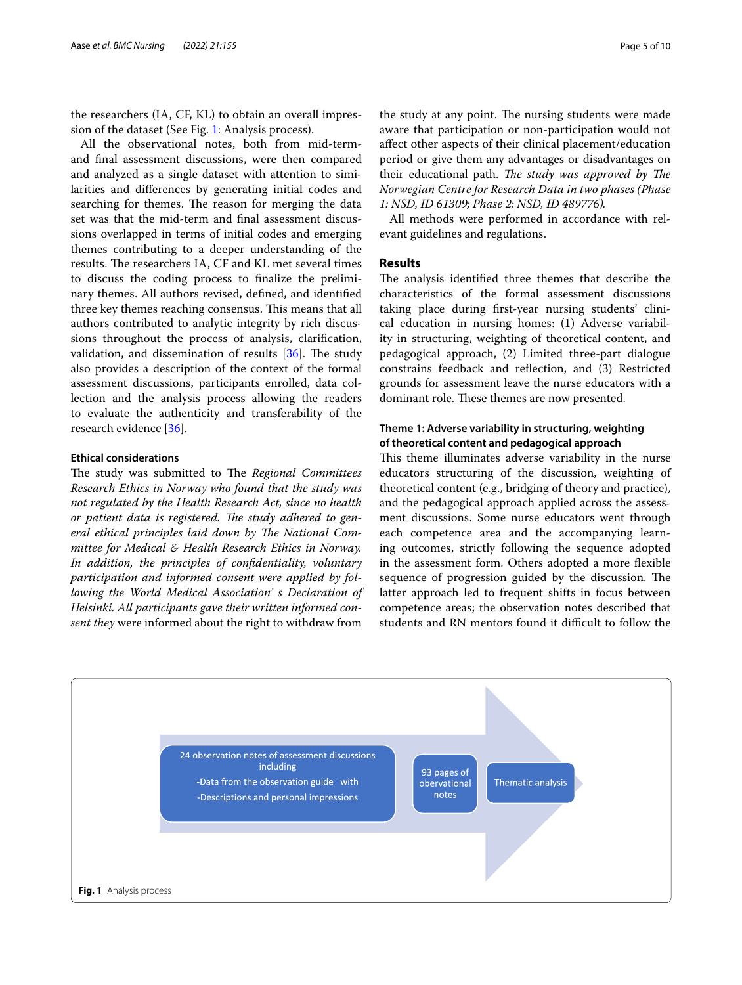the researchers (IA, CF, KL) to obtain an overall impression of the dataset (See Fig. [1:](#page-4-0) Analysis process).

All the observational notes, both from mid-termand fnal assessment discussions, were then compared and analyzed as a single dataset with attention to similarities and diferences by generating initial codes and searching for themes. The reason for merging the data set was that the mid-term and fnal assessment discussions overlapped in terms of initial codes and emerging themes contributing to a deeper understanding of the results. The researchers IA, CF and KL met several times to discuss the coding process to fnalize the preliminary themes. All authors revised, defned, and identifed three key themes reaching consensus. This means that all authors contributed to analytic integrity by rich discussions throughout the process of analysis, clarifcation, validation, and dissemination of results  $[36]$  $[36]$ . The study also provides a description of the context of the formal assessment discussions, participants enrolled, data collection and the analysis process allowing the readers to evaluate the authenticity and transferability of the research evidence [[36\]](#page-9-30).

## **Ethical considerations**

The study was submitted to The Regional Committees *Research Ethics in Norway who found that the study was not regulated by the Health Research Act, since no health*  or patient data is registered. The study adhered to general ethical principles laid down by The National Com*mittee for Medical & Health Research Ethics in Norway. In addition, the principles of confdentiality, voluntary participation and informed consent were applied by following the World Medical Association' s Declaration of Helsinki. All participants gave their written informed consent they* were informed about the right to withdraw from

the study at any point. The nursing students were made aware that participation or non-participation would not afect other aspects of their clinical placement/education period or give them any advantages or disadvantages on their educational path. *The study was approved by The Norwegian Centre for Research Data in two phases (Phase 1: NSD, ID 61309; Phase 2: NSD, ID 489776).*

All methods were performed in accordance with relevant guidelines and regulations.

## **Results**

The analysis identified three themes that describe the characteristics of the formal assessment discussions taking place during frst-year nursing students' clinical education in nursing homes: (1) Adverse variability in structuring, weighting of theoretical content, and pedagogical approach, (2) Limited three-part dialogue constrains feedback and refection, and (3) Restricted grounds for assessment leave the nurse educators with a dominant role. These themes are now presented.

## **Theme 1: Adverse variability in structuring, weighting of theoretical content and pedagogical approach**

This theme illuminates adverse variability in the nurse educators structuring of the discussion, weighting of theoretical content (e.g., bridging of theory and practice), and the pedagogical approach applied across the assessment discussions. Some nurse educators went through each competence area and the accompanying learning outcomes, strictly following the sequence adopted in the assessment form. Others adopted a more fexible sequence of progression guided by the discussion. The latter approach led to frequent shifts in focus between competence areas; the observation notes described that students and RN mentors found it difficult to follow the

<span id="page-4-0"></span>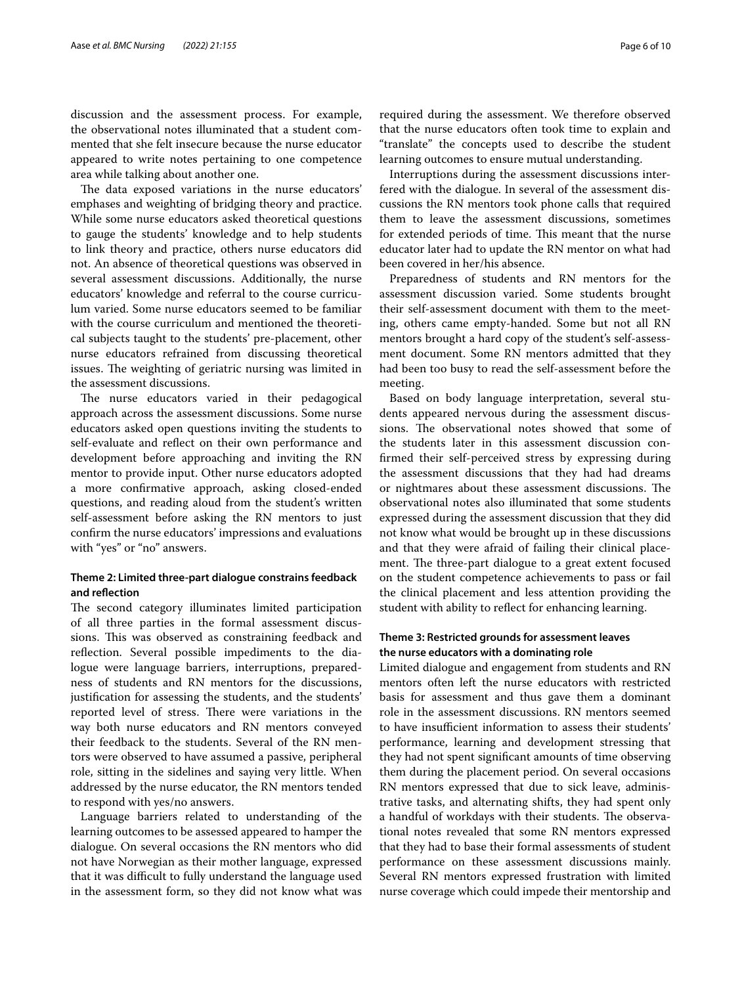discussion and the assessment process. For example, the observational notes illuminated that a student commented that she felt insecure because the nurse educator appeared to write notes pertaining to one competence area while talking about another one.

The data exposed variations in the nurse educators' emphases and weighting of bridging theory and practice. While some nurse educators asked theoretical questions to gauge the students' knowledge and to help students to link theory and practice, others nurse educators did not. An absence of theoretical questions was observed in several assessment discussions. Additionally, the nurse educators' knowledge and referral to the course curriculum varied. Some nurse educators seemed to be familiar with the course curriculum and mentioned the theoretical subjects taught to the students' pre-placement, other nurse educators refrained from discussing theoretical issues. The weighting of geriatric nursing was limited in the assessment discussions.

The nurse educators varied in their pedagogical approach across the assessment discussions. Some nurse educators asked open questions inviting the students to self-evaluate and refect on their own performance and development before approaching and inviting the RN mentor to provide input. Other nurse educators adopted a more confrmative approach, asking closed-ended questions, and reading aloud from the student's written self-assessment before asking the RN mentors to just confrm the nurse educators' impressions and evaluations with "yes" or "no" answers.

## **Theme 2: Limited three‑part dialogue constrains feedback and refection**

The second category illuminates limited participation of all three parties in the formal assessment discussions. This was observed as constraining feedback and reflection. Several possible impediments to the dialogue were language barriers, interruptions, preparedness of students and RN mentors for the discussions, justifcation for assessing the students, and the students' reported level of stress. There were variations in the way both nurse educators and RN mentors conveyed their feedback to the students. Several of the RN mentors were observed to have assumed a passive, peripheral role, sitting in the sidelines and saying very little. When addressed by the nurse educator, the RN mentors tended to respond with yes/no answers.

Language barriers related to understanding of the learning outcomes to be assessed appeared to hamper the dialogue. On several occasions the RN mentors who did not have Norwegian as their mother language, expressed that it was difficult to fully understand the language used in the assessment form, so they did not know what was required during the assessment. We therefore observed that the nurse educators often took time to explain and "translate" the concepts used to describe the student learning outcomes to ensure mutual understanding.

Interruptions during the assessment discussions interfered with the dialogue. In several of the assessment discussions the RN mentors took phone calls that required them to leave the assessment discussions, sometimes for extended periods of time. This meant that the nurse educator later had to update the RN mentor on what had been covered in her/his absence.

Preparedness of students and RN mentors for the assessment discussion varied. Some students brought their self-assessment document with them to the meeting, others came empty-handed. Some but not all RN mentors brought a hard copy of the student's self-assessment document. Some RN mentors admitted that they had been too busy to read the self-assessment before the meeting.

Based on body language interpretation, several students appeared nervous during the assessment discussions. The observational notes showed that some of the students later in this assessment discussion confrmed their self-perceived stress by expressing during the assessment discussions that they had had dreams or nightmares about these assessment discussions. The observational notes also illuminated that some students expressed during the assessment discussion that they did not know what would be brought up in these discussions and that they were afraid of failing their clinical placement. The three-part dialogue to a great extent focused on the student competence achievements to pass or fail the clinical placement and less attention providing the student with ability to refect for enhancing learning.

## **Theme 3: Restricted grounds for assessment leaves the nurse educators with a dominating role**

Limited dialogue and engagement from students and RN mentors often left the nurse educators with restricted basis for assessment and thus gave them a dominant role in the assessment discussions. RN mentors seemed to have insufficient information to assess their students' performance, learning and development stressing that they had not spent signifcant amounts of time observing them during the placement period. On several occasions RN mentors expressed that due to sick leave, administrative tasks, and alternating shifts, they had spent only a handful of workdays with their students. The observational notes revealed that some RN mentors expressed that they had to base their formal assessments of student performance on these assessment discussions mainly. Several RN mentors expressed frustration with limited nurse coverage which could impede their mentorship and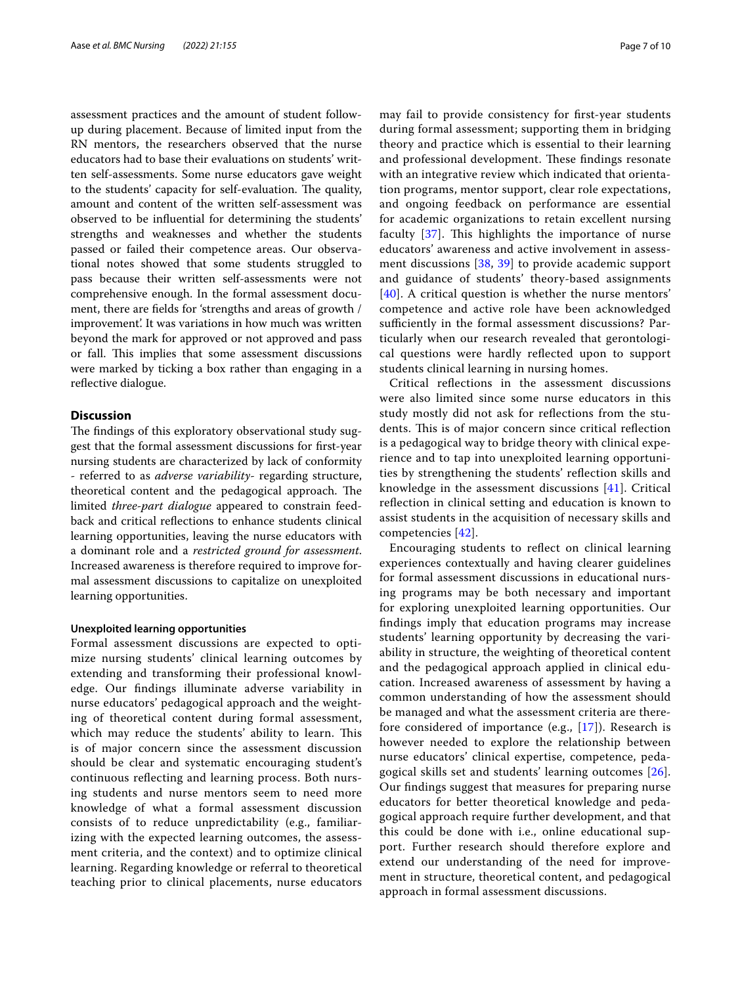assessment practices and the amount of student followup during placement. Because of limited input from the RN mentors, the researchers observed that the nurse educators had to base their evaluations on students' written self-assessments. Some nurse educators gave weight to the students' capacity for self-evaluation. The quality, amount and content of the written self-assessment was observed to be infuential for determining the students' strengths and weaknesses and whether the students passed or failed their competence areas. Our observational notes showed that some students struggled to pass because their written self-assessments were not comprehensive enough. In the formal assessment document, there are felds for 'strengths and areas of growth / improvement'. It was variations in how much was written beyond the mark for approved or not approved and pass or fall. This implies that some assessment discussions were marked by ticking a box rather than engaging in a reflective dialogue.

## **Discussion**

The findings of this exploratory observational study suggest that the formal assessment discussions for frst-year nursing students are characterized by lack of conformity - referred to as *adverse variability-* regarding structure, theoretical content and the pedagogical approach. The limited *three-part dialogue* appeared to constrain feedback and critical refections to enhance students clinical learning opportunities, leaving the nurse educators with a dominant role and a *restricted ground for assessment*. Increased awareness is therefore required to improve formal assessment discussions to capitalize on unexploited learning opportunities.

#### **Unexploited learning opportunities**

Formal assessment discussions are expected to optimize nursing students' clinical learning outcomes by extending and transforming their professional knowledge. Our fndings illuminate adverse variability in nurse educators' pedagogical approach and the weighting of theoretical content during formal assessment, which may reduce the students' ability to learn. This is of major concern since the assessment discussion should be clear and systematic encouraging student's continuous refecting and learning process. Both nursing students and nurse mentors seem to need more knowledge of what a formal assessment discussion consists of to reduce unpredictability (e.g., familiarizing with the expected learning outcomes, the assessment criteria, and the context) and to optimize clinical learning. Regarding knowledge or referral to theoretical teaching prior to clinical placements, nurse educators may fail to provide consistency for frst-year students during formal assessment; supporting them in bridging theory and practice which is essential to their learning and professional development. These findings resonate with an integrative review which indicated that orientation programs, mentor support, clear role expectations, and ongoing feedback on performance are essential for academic organizations to retain excellent nursing faculty  $[37]$  $[37]$ . This highlights the importance of nurse educators' awareness and active involvement in assessment discussions [[38](#page-9-32), [39\]](#page-9-33) to provide academic support and guidance of students' theory-based assignments [[40](#page-9-34)]. A critical question is whether the nurse mentors' competence and active role have been acknowledged sufficiently in the formal assessment discussions? Particularly when our research revealed that gerontological questions were hardly refected upon to support students clinical learning in nursing homes.

Critical refections in the assessment discussions were also limited since some nurse educators in this study mostly did not ask for refections from the students. This is of major concern since critical reflection is a pedagogical way to bridge theory with clinical experience and to tap into unexploited learning opportunities by strengthening the students' refection skills and knowledge in the assessment discussions [[41\]](#page-9-35). Critical refection in clinical setting and education is known to assist students in the acquisition of necessary skills and competencies [\[42](#page-9-36)].

Encouraging students to refect on clinical learning experiences contextually and having clearer guidelines for formal assessment discussions in educational nursing programs may be both necessary and important for exploring unexploited learning opportunities. Our fndings imply that education programs may increase students' learning opportunity by decreasing the variability in structure, the weighting of theoretical content and the pedagogical approach applied in clinical education. Increased awareness of assessment by having a common understanding of how the assessment should be managed and what the assessment criteria are therefore considered of importance (e.g., [[17](#page-9-12)]). Research is however needed to explore the relationship between nurse educators' clinical expertise, competence, pedagogical skills set and students' learning outcomes [[26](#page-9-20)]. Our fndings suggest that measures for preparing nurse educators for better theoretical knowledge and pedagogical approach require further development, and that this could be done with i.e., online educational support. Further research should therefore explore and extend our understanding of the need for improvement in structure, theoretical content, and pedagogical approach in formal assessment discussions.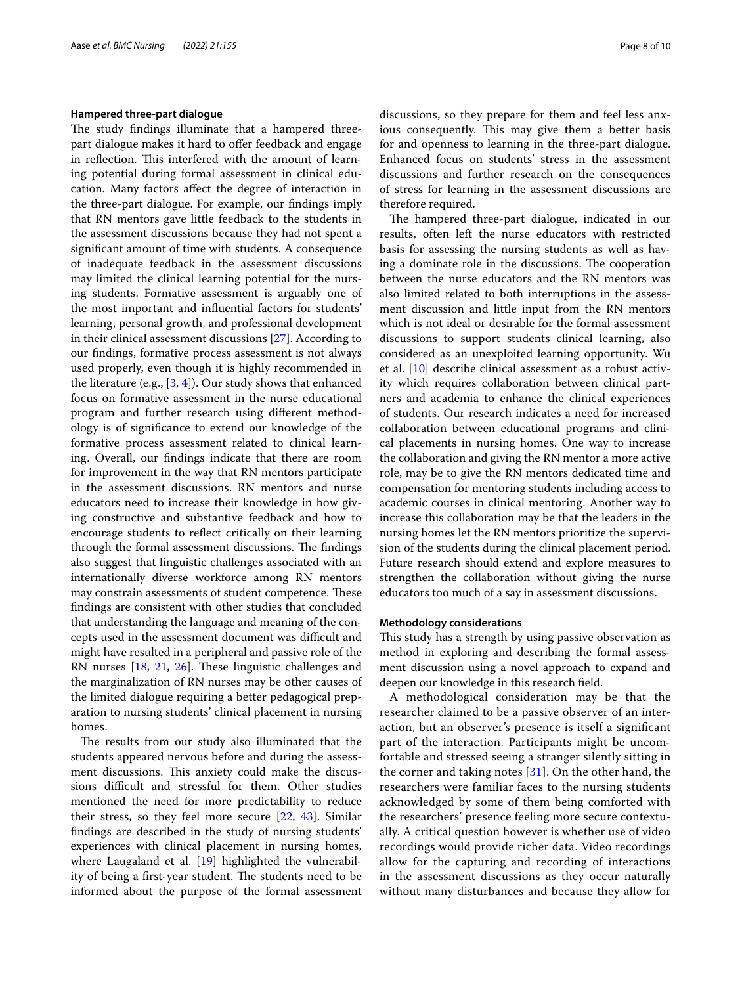#### **Hampered three‑part dialogue**

The study findings illuminate that a hampered threepart dialogue makes it hard to offer feedback and engage in reflection. This interfered with the amount of learning potential during formal assessment in clinical education. Many factors afect the degree of interaction in the three-part dialogue. For example, our fndings imply that RN mentors gave little feedback to the students in the assessment discussions because they had not spent a signifcant amount of time with students. A consequence of inadequate feedback in the assessment discussions may limited the clinical learning potential for the nursing students. Formative assessment is arguably one of the most important and infuential factors for students' learning, personal growth, and professional development in their clinical assessment discussions [[27\]](#page-9-21). According to our fndings, formative process assessment is not always used properly, even though it is highly recommended in the literature (e.g.,  $[3, 4]$  $[3, 4]$  $[3, 4]$ ). Our study shows that enhanced focus on formative assessment in the nurse educational program and further research using diferent methodology is of signifcance to extend our knowledge of the formative process assessment related to clinical learning. Overall, our fndings indicate that there are room for improvement in the way that RN mentors participate in the assessment discussions. RN mentors and nurse educators need to increase their knowledge in how giving constructive and substantive feedback and how to encourage students to refect critically on their learning through the formal assessment discussions. The findings also suggest that linguistic challenges associated with an internationally diverse workforce among RN mentors may constrain assessments of student competence. These fndings are consistent with other studies that concluded that understanding the language and meaning of the concepts used in the assessment document was difficult and might have resulted in a peripheral and passive role of the RN nurses  $[18, 21, 26]$  $[18, 21, 26]$  $[18, 21, 26]$  $[18, 21, 26]$  $[18, 21, 26]$  $[18, 21, 26]$ . These linguistic challenges and the marginalization of RN nurses may be other causes of the limited dialogue requiring a better pedagogical preparation to nursing students' clinical placement in nursing homes.

The results from our study also illuminated that the students appeared nervous before and during the assessment discussions. This anxiety could make the discussions difficult and stressful for them. Other studies mentioned the need for more predictability to reduce their stress, so they feel more secure  $[22, 43]$  $[22, 43]$  $[22, 43]$  $[22, 43]$  $[22, 43]$ . Similar fndings are described in the study of nursing students' experiences with clinical placement in nursing homes, where Laugaland et al. [[19\]](#page-9-13) highlighted the vulnerability of being a first-year student. The students need to be informed about the purpose of the formal assessment discussions, so they prepare for them and feel less anxious consequently. This may give them a better basis for and openness to learning in the three-part dialogue. Enhanced focus on students' stress in the assessment discussions and further research on the consequences of stress for learning in the assessment discussions are therefore required.

The hampered three-part dialogue, indicated in our results, often left the nurse educators with restricted basis for assessing the nursing students as well as having a dominate role in the discussions. The cooperation between the nurse educators and the RN mentors was also limited related to both interruptions in the assessment discussion and little input from the RN mentors which is not ideal or desirable for the formal assessment discussions to support students clinical learning, also considered as an unexploited learning opportunity. Wu et al. [\[10](#page-9-6)] describe clinical assessment as a robust activity which requires collaboration between clinical partners and academia to enhance the clinical experiences of students. Our research indicates a need for increased collaboration between educational programs and clinical placements in nursing homes. One way to increase the collaboration and giving the RN mentor a more active role, may be to give the RN mentors dedicated time and compensation for mentoring students including access to academic courses in clinical mentoring. Another way to increase this collaboration may be that the leaders in the nursing homes let the RN mentors prioritize the supervision of the students during the clinical placement period. Future research should extend and explore measures to strengthen the collaboration without giving the nurse educators too much of a say in assessment discussions.

#### **Methodology considerations**

This study has a strength by using passive observation as method in exploring and describing the formal assessment discussion using a novel approach to expand and deepen our knowledge in this research feld.

A methodological consideration may be that the researcher claimed to be a passive observer of an interaction, but an observer's presence is itself a signifcant part of the interaction. Participants might be uncomfortable and stressed seeing a stranger silently sitting in the corner and taking notes  $[31]$  $[31]$ . On the other hand, the researchers were familiar faces to the nursing students acknowledged by some of them being comforted with the researchers' presence feeling more secure contextually. A critical question however is whether use of video recordings would provide richer data. Video recordings allow for the capturing and recording of interactions in the assessment discussions as they occur naturally without many disturbances and because they allow for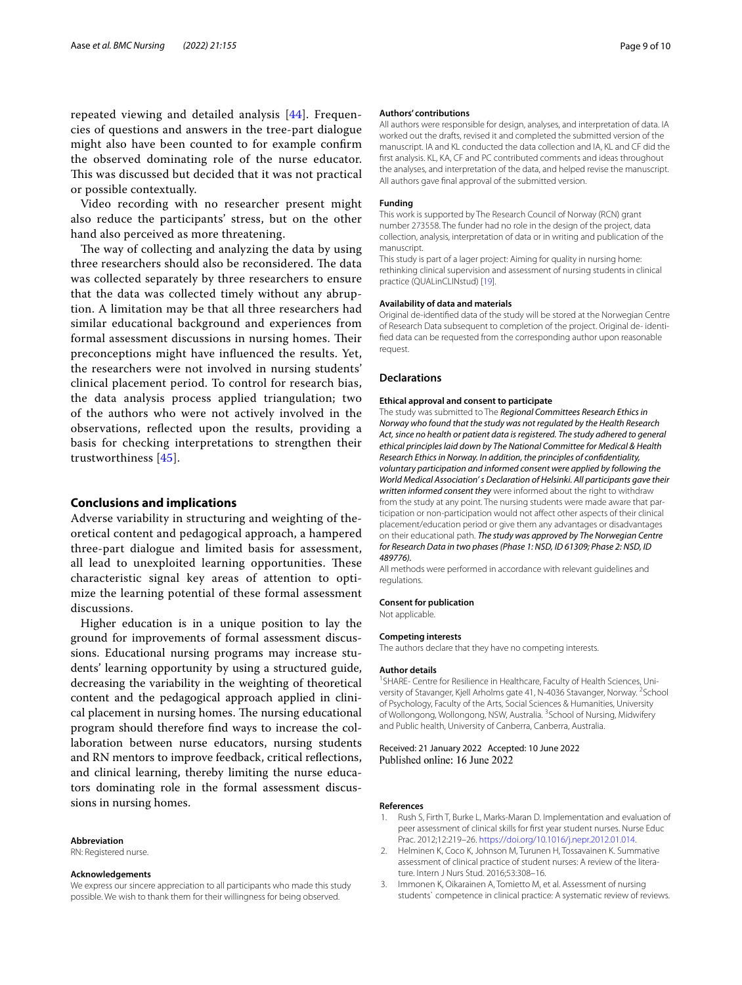repeated viewing and detailed analysis [\[44](#page-9-38)]. Frequencies of questions and answers in the tree-part dialogue might also have been counted to for example confrm the observed dominating role of the nurse educator. This was discussed but decided that it was not practical or possible contextually.

Video recording with no researcher present might also reduce the participants' stress, but on the other hand also perceived as more threatening.

The way of collecting and analyzing the data by using three researchers should also be reconsidered. The data was collected separately by three researchers to ensure that the data was collected timely without any abruption. A limitation may be that all three researchers had similar educational background and experiences from formal assessment discussions in nursing homes. Their preconceptions might have infuenced the results. Yet, the researchers were not involved in nursing students' clinical placement period. To control for research bias, the data analysis process applied triangulation; two of the authors who were not actively involved in the observations, refected upon the results, providing a basis for checking interpretations to strengthen their trustworthiness [[45\]](#page-9-39).

#### **Conclusions and implications**

Adverse variability in structuring and weighting of theoretical content and pedagogical approach, a hampered three-part dialogue and limited basis for assessment, all lead to unexploited learning opportunities. These characteristic signal key areas of attention to optimize the learning potential of these formal assessment discussions.

Higher education is in a unique position to lay the ground for improvements of formal assessment discussions. Educational nursing programs may increase students' learning opportunity by using a structured guide, decreasing the variability in the weighting of theoretical content and the pedagogical approach applied in clinical placement in nursing homes. The nursing educational program should therefore fnd ways to increase the collaboration between nurse educators, nursing students and RN mentors to improve feedback, critical refections, and clinical learning, thereby limiting the nurse educators dominating role in the formal assessment discussions in nursing homes.

#### **Abbreviation**

RN: Registered nurse.

#### **Acknowledgements**

We express our sincere appreciation to all participants who made this study possible. We wish to thank them for their willingness for being observed.

#### **Authors' contributions**

All authors were responsible for design, analyses, and interpretation of data. IA worked out the drafts, revised it and completed the submitted version of the manuscript. IA and KL conducted the data collection and IA, KL and CF did the frst analysis. KL, KA, CF and PC contributed comments and ideas throughout the analyses, and interpretation of the data, and helped revise the manuscript. All authors gave fnal approval of the submitted version.

#### **Funding**

This work is supported by The Research Council of Norway (RCN) grant number 273558. The funder had no role in the design of the project, data collection, analysis, interpretation of data or in writing and publication of the manuscript.

This study is part of a lager project: Aiming for quality in nursing home: rethinking clinical supervision and assessment of nursing students in clinical practice (QUALinCLINstud) [[19](#page-9-13)].

#### **Availability of data and materials**

Original de-identifed data of the study will be stored at the Norwegian Centre of Research Data subsequent to completion of the project. Original de- identifed data can be requested from the corresponding author upon reasonable request.

#### **Declarations**

#### **Ethical approval and consent to participate**

The study was submitted to The *Regional Committees Research Ethics in Norway who found that the study was not regulated by the Health Research Act, since no health or patient data is registered. The study adhered to general ethical principles laid down by The National Committee for Medical & Health Research Ethics in Norway. In addition, the principles of confdentiality, voluntary participation and informed consent were applied by following the World Medical Association' s Declaration of Helsinki. All participants gave their written informed consent they* were informed about the right to withdraw from the study at any point. The nursing students were made aware that participation or non-participation would not afect other aspects of their clinical placement/education period or give them any advantages or disadvantages on their educational path. *The study was approved by The Norwegian Centre for Research Data in two phases (Phase 1: NSD, ID 61309; Phase 2: NSD, ID 489776).*

All methods were performed in accordance with relevant guidelines and regulations.

#### **Consent for publication**

Not applicable.

#### **Competing interests**

The authors declare that they have no competing interests.

#### **Author details**

<sup>1</sup> SHARE- Centre for Resilience in Healthcare, Faculty of Health Sciences, University of Stavanger, Kjell Arholms gate 41, N-4036 Stavanger, Norway. <sup>2</sup>School of Psychology, Faculty of the Arts, Social Sciences & Humanities, University of Wollongong, Wollongong, NSW, Australia. <sup>3</sup>School of Nursing, Midwifery and Public health, University of Canberra, Canberra, Australia.

#### Received: 21 January 2022 Accepted: 10 June 2022 Published online: 16 June 2022

#### **References**

- <span id="page-8-0"></span>1. Rush S, Firth T, Burke L, Marks-Maran D. Implementation and evaluation of peer assessment of clinical skills for frst year student nurses. Nurse Educ Prac. 2012;12:219–26. [https://doi.org/10.1016/j.nepr.2012.01.014.](https://doi.org/10.1016/j.nepr.2012.01.014)
- <span id="page-8-1"></span>2. Helminen K, Coco K, Johnson M, Turunen H, Tossavainen K. Summative assessment of clinical practice of student nurses: A review of the literature. Intern J Nurs Stud. 2016;53:308–16.
- <span id="page-8-2"></span>Immonen K, Oikarainen A, Tomietto M, et al. Assessment of nursing students` competence in clinical practice: A systematic review of reviews.